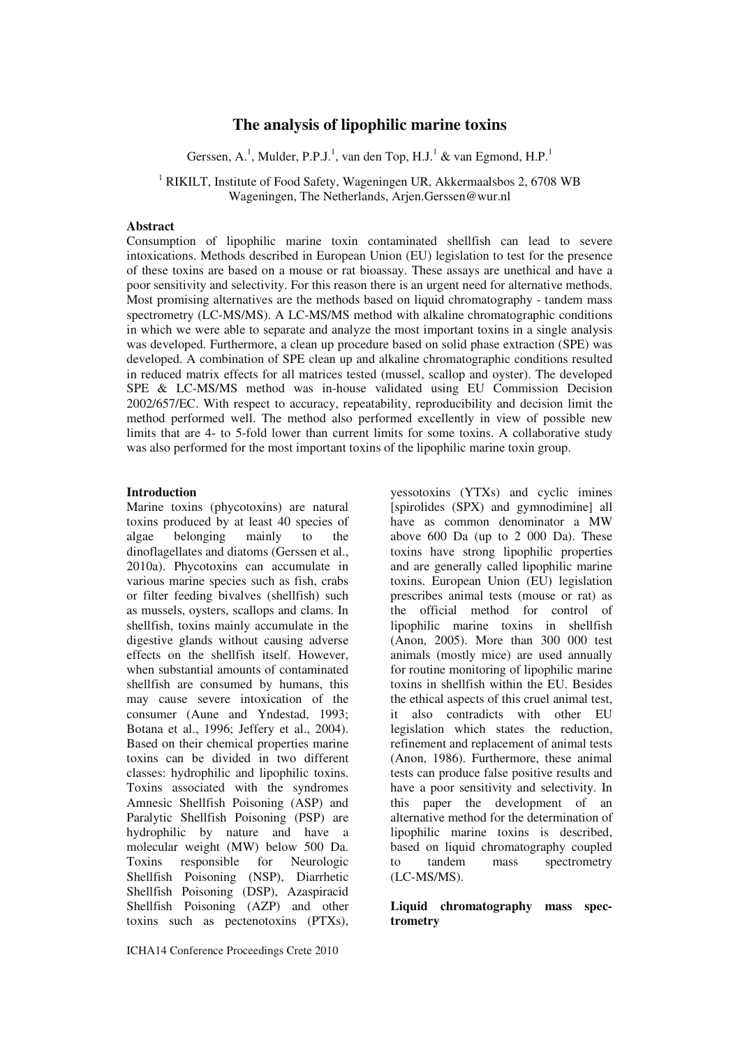# **The analysis of lipophilic marine toxins**

Gerssen, A.<sup>1</sup>, Mulder, P.P.J.<sup>1</sup>, van den Top, H.J.<sup>1</sup> & van Egmond, H.P.<sup>1</sup>

<sup>1</sup> RIKILT, Institute of Food Safety, Wageningen UR, Akkermaalsbos 2, 6708 WB Wageningen, The Netherlands, Arjen.Gerssen@wur.nl

### **Abstract**

Consumption of lipophilic marine toxin contaminated shellfish can lead to severe intoxications. Methods described in European Union (EU) legislation to test for the presence of these toxins are based on a mouse or rat bioassay. These assays are unethical and have a poor sensitivity and selectivity. For this reason there is an urgent need for alternative methods. Most promising alternatives are the methods based on liquid chromatography - tandem mass spectrometry (LC-MS/MS). A LC-MS/MS method with alkaline chromatographic conditions in which we were able to separate and analyze the most important toxins in a single analysis was developed. Furthermore, a clean up procedure based on solid phase extraction (SPE) was developed. A combination of SPE clean up and alkaline chromatographic conditions resulted in reduced matrix effects for all matrices tested (mussel, scallop and oyster). The developed SPE & LC-MS/MS method was in-house validated using EU Commission Decision 2002/657/EC. With respect to accuracy, repeatability, reproducibility and decision limit the method performed well. The method also performed excellently in view of possible new limits that are 4- to 5-fold lower than current limits for some toxins. A collaborative study was also performed for the most important toxins of the lipophilic marine toxin group.

#### **Introduction**

Marine toxins (phycotoxins) are natural toxins produced by at least 40 species of algae belonging mainly to the dinoflagellates and diatoms (Gerssen et al., 2010a). Phycotoxins can accumulate in various marine species such as fish, crabs or filter feeding bivalves (shellfish) such as mussels, oysters, scallops and clams. In shellfish, toxins mainly accumulate in the digestive glands without causing adverse effects on the shellfish itself. However, when substantial amounts of contaminated shellfish are consumed by humans, this may cause severe intoxication of the consumer (Aune and Yndestad, 1993; Botana et al., 1996; Jeffery et al., 2004). Based on their chemical properties marine toxins can be divided in two different classes: hydrophilic and lipophilic toxins. Toxins associated with the syndromes Amnesic Shellfish Poisoning (ASP) and Paralytic Shellfish Poisoning (PSP) are hydrophilic by nature and have a molecular weight (MW) below 500 Da. Toxins responsible for Neurologic Shellfish Poisoning (NSP), Diarrhetic Shellfish Poisoning (DSP), Azaspiracid Shellfish Poisoning (AZP) and other toxins such as pectenotoxins (PTXs),

yessotoxins (YTXs) and cyclic imines [spirolides (SPX) and gymnodimine] all have as common denominator a MW above 600 Da (up to 2 000 Da). These toxins have strong lipophilic properties and are generally called lipophilic marine toxins. European Union (EU) legislation prescribes animal tests (mouse or rat) as the official method for control of lipophilic marine toxins in shellfish (Anon, 2005). More than 300 000 test animals (mostly mice) are used annually for routine monitoring of lipophilic marine toxins in shellfish within the EU. Besides the ethical aspects of this cruel animal test, it also contradicts with other EU legislation which states the reduction, refinement and replacement of animal tests (Anon, 1986). Furthermore, these animal tests can produce false positive results and have a poor sensitivity and selectivity. In this paper the development of an alternative method for the determination of lipophilic marine toxins is described, based on liquid chromatography coupled to tandem mass spectrometry (LC-MS/MS).

### **Liquid chromatography mass spectrometry**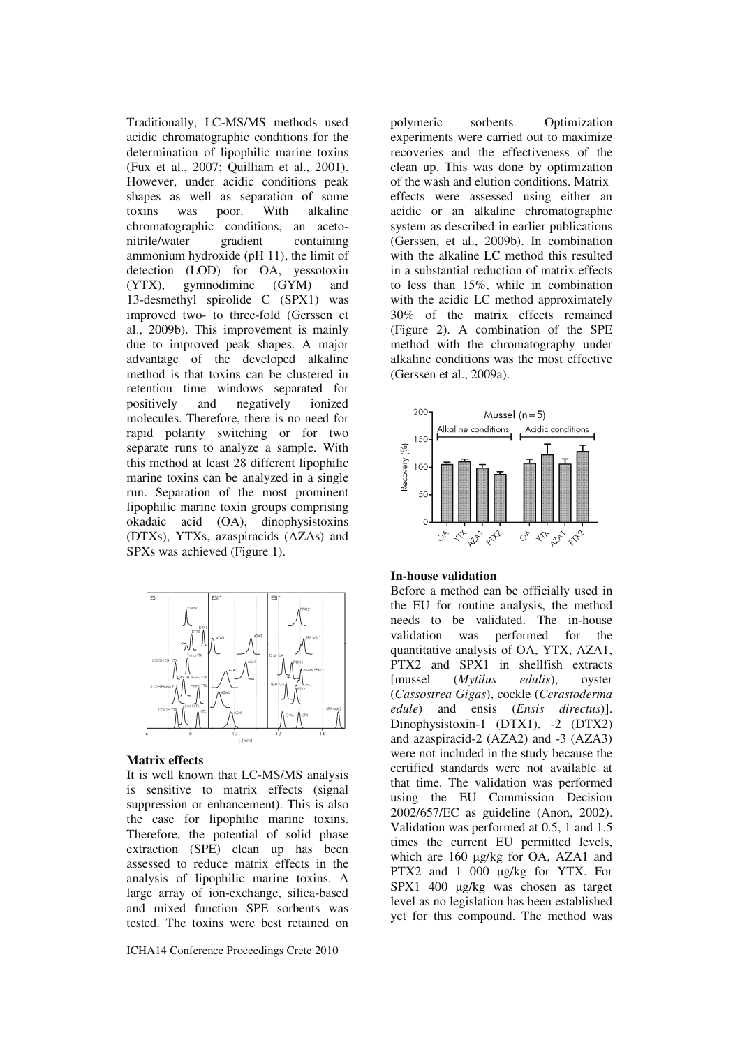Traditionally, LC-MS/MS methods used acidic chromatographic conditions for the determination of lipophilic marine toxins (Fux et al., 2007; Quilliam et al., 2001). However, under acidic conditions peak shapes as well as separation of some toxins was poor. With alkaline chromatographic conditions, an acetonitrile/water gradient containing ammonium hydroxide (pH 11), the limit of detection (LOD) for OA, yessotoxin<br>(YTX), gymnodimine (GYM) and (YTX), gymnodimine (GYM) and 13-desmethyl spirolide C (SPX1) was improved two- to three-fold (Gerssen et al., 2009b). This improvement is mainly due to improved peak shapes. A major advantage of the developed alkaline method is that toxins can be clustered in retention time windows separated for positively and negatively ionized molecules. Therefore, there is no need for rapid polarity switching or for two separate runs to analyze a sample. With this method at least 28 different lipophilic marine toxins can be analyzed in a single run. Separation of the most prominent lipophilic marine toxin groups comprising okadaic acid (OA), dinophysistoxins (DTXs), YTXs, azaspiracids (AZAs) and SPXs was achieved (Figure 1).



#### **Matrix effects**

It is well known that LC-MS/MS analysis is sensitive to matrix effects (signal suppression or enhancement). This is also the case for lipophilic marine toxins. Therefore, the potential of solid phase extraction (SPE) clean up has been assessed to reduce matrix effects in the analysis of lipophilic marine toxins. A large array of ion-exchange, silica-based and mixed function SPE sorbents was tested. The toxins were best retained on

polymeric sorbents. Optimization experiments were carried out to maximize recoveries and the effectiveness of the clean up. This was done by optimization of the wash and elution conditions. Matrix effects were assessed using either an acidic or an alkaline chromatographic system as described in earlier publications (Gerssen, et al., 2009b). In combination with the alkaline LC method this resulted in a substantial reduction of matrix effects to less than 15%, while in combination with the acidic LC method approximately 30% of the matrix effects remained (Figure 2). A combination of the SPE method with the chromatography under alkaline conditions was the most effective (Gerssen et al., 2009a).



#### **In-house validation**

Before a method can be officially used in the EU for routine analysis, the method needs to be validated. The in-house validation was performed for the quantitative analysis of OA, YTX, AZA1, PTX2 and SPX1 in shellfish extracts [mussel (*Mytilus edulis*), oyster (*Cassostrea Gigas*), cockle (*Cerastoderma edule*) and ensis (*Ensis directus*)]. Dinophysistoxin-1 (DTX1), -2 (DTX2) and azaspiracid-2 (AZA2) and -3 (AZA3) were not included in the study because the certified standards were not available at that time. The validation was performed using the EU Commission Decision 2002/657/EC as guideline (Anon, 2002). Validation was performed at 0.5, 1 and 1.5 times the current EU permitted levels, which are 160  $\mu$ g/kg for OA, AZA1 and PTX2 and 1 000  $\mu$ g/kg for YTX. For SPX1 400 µg/kg was chosen as target level as no legislation has been established yet for this compound. The method was